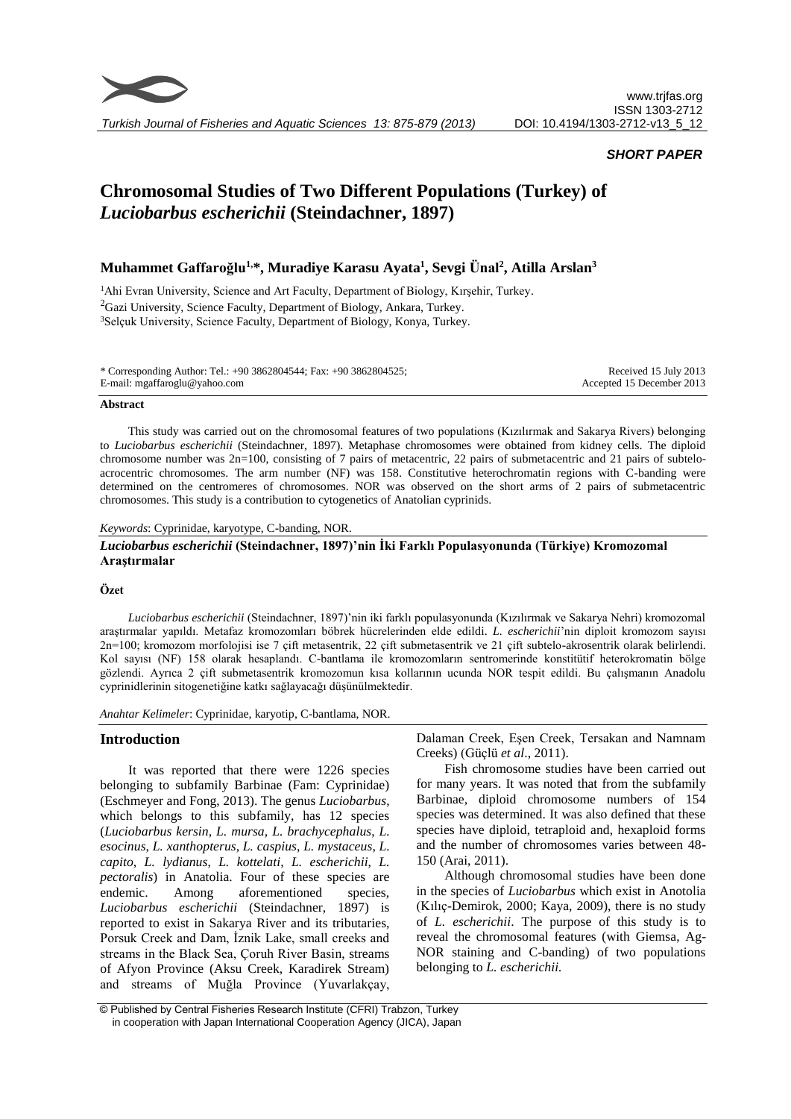

# *SHORT PAPER*

# **Chromosomal Studies of Two Different Populations (Turkey) of** *Luciobarbus escherichii* **(Steindachner, 1897)**

# **Muhammet Gaffaroğlu1,\*, Muradiye Karasu Ayata<sup>1</sup> , Sevgi Ünal<sup>2</sup> , Atilla Arslan<sup>3</sup>**

<sup>1</sup>Ahi Evran University, Science and Art Faculty, Department of Biology, Kırşehir, Turkey.  ${}^{2}$ Gazi University, Science Faculty, Department of Biology, Ankara, Turkey. <sup>3</sup>Selçuk University, Science Faculty, Department of Biology, Konya, Turkey.

\* Corresponding Author: Tel.: +90 3862804544; Fax: +90 3862804525; E-mail: mgaffaroglu@yahoo.com

Received 15 July 2013 Accepted 15 December 2013

#### **Abstract**

This study was carried out on the chromosomal features of two populations (Kızılırmak and Sakarya Rivers) belonging to *Luciobarbus escherichii* (Steindachner, 1897). Metaphase chromosomes were obtained from kidney cells. The diploid chromosome number was 2n=100, consisting of 7 pairs of metacentric, 22 pairs of submetacentric and 21 pairs of subteloacrocentric chromosomes. The arm number (NF) was 158. Constitutive heterochromatin regions with C-banding were determined on the centromeres of chromosomes. NOR was observed on the short arms of 2 pairs of submetacentric chromosomes. This study is a contribution to cytogenetics of Anatolian cyprinids.

## *Keywords*: Cyprinidae, karyotype, C-banding, NOR.

# *Luciobarbus escherichii* **(Steindachner, 1897)'nin İki Farklı Populasyonunda (Türkiye) Kromozomal Araştırmalar**

## **Özet**

*Luciobarbus escherichii* (Steindachner, 1897)'nin iki farklı populasyonunda (Kızılırmak ve Sakarya Nehri) kromozomal araştırmalar yapıldı. Metafaz kromozomları böbrek hücrelerinden elde edildi. *L. escherichii*'nin diploit kromozom sayısı 2n=100; kromozom morfolojisi ise 7 çift metasentrik, 22 çift submetasentrik ve 21 çift subtelo-akrosentrik olarak belirlendi. Kol sayısı (NF) 158 olarak hesaplandı. C-bantlama ile kromozomların sentromerinde konstitütif heterokromatin bölge gözlendi. Ayrıca 2 çift submetasentrik kromozomun kısa kollarının ucunda NOR tespit edildi. Bu çalışmanın Anadolu cyprinidlerinin sitogenetiğine katkı sağlayacağı düşünülmektedir.

*Anahtar Kelimeler*: Cyprinidae, karyotip, C-bantlama, NOR.

## **Introduction**

It was reported that there were 1226 species belonging to subfamily Barbinae (Fam: Cyprinidae) [\(Eschmeyer](mailto:weschmeyer@calacademy.org) and [Fong,](mailto:jfong@calacademy.org) 2013). The genus *Luciobarbus*, which belongs to this subfamily, has 12 species (*Luciobarbus kersin*, *L. mursa*, *L. brachycephalus*, *L. esocinus*, *L. xanthopterus*, *L. caspius*, *L. mystaceus*, *L. capito*, *L. lydianus*, *L. kottelati*, *L. escherichii*, *L. pectoralis*) in Anatolia. Four of these species are endemic. Among aforementioned species, *Luciobarbus escherichii* (Steindachner, 1897) is reported to exist in Sakarya River and its tributaries, Porsuk Creek and Dam, İznik Lake, small creeks and streams in the Black Sea, Çoruh River Basin, streams of Afyon Province (Aksu Creek, Karadirek Stream) and streams of Muğla Province (Yuvarlakçay, Dalaman Creek, Eşen Creek, Tersakan and Namnam Creeks) (Güçlü *et al*., 2011).

Fish chromosome studies have been carried out for many years. It was noted that from the subfamily Barbinae, diploid chromosome numbers of 154 species was determined. It was also defined that these species have diploid, tetraploid and, hexaploid forms and the number of chromosomes varies between 48- 150 (Arai, 2011).

Although chromosomal studies have been done in the species of *Luciobarbus* which exist in Anotolia (Kılıç-Demirok, 2000; Kaya, 2009), there is no study of *L. escherichii*. The purpose of this study is to reveal the chromosomal features (with Giemsa, Ag-NOR staining and C-banding) of two populations belonging to *L. escherichii.* 

<sup>©</sup> Published by Central Fisheries Research Institute (CFRI) Trabzon, Turkey in cooperation with Japan International Cooperation Agency (JICA), Japan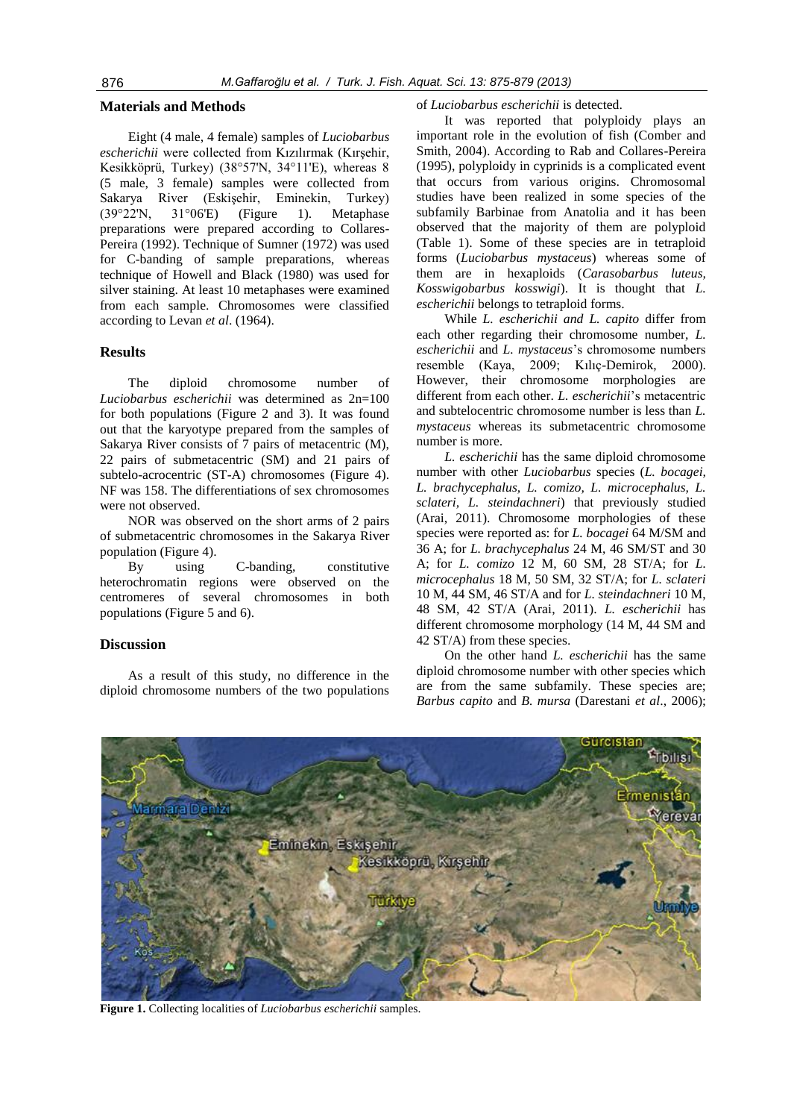#### **Materials and Methods**

Eight (4 male, 4 female) samples of *Luciobarbus escherichii* were collected from Kızılırmak (Kırşehir, Kesikköprü, Turkey) (38°57'N, 34°11'E), whereas 8 (5 male, 3 female) samples were collected from Sakarya River (Eskişehir, Eminekin, Turkey) (39°22'N, 31°06'E) (Figure 1). Metaphase preparations were prepared according to Collares-Pereira (1992). Technique of Sumner (1972) was used for C-banding of sample preparations, whereas technique of Howell and Black (1980) was used for silver staining. At least 10 metaphases were examined from each sample. Chromosomes were classified according to Levan *et al*. (1964).

### **Results**

The diploid chromosome number of *Luciobarbus escherichii* was determined as 2n=100 for both populations (Figure 2 and 3). It was found out that the karyotype prepared from the samples of Sakarya River consists of 7 pairs of metacentric (M), 22 pairs of submetacentric (SM) and 21 pairs of subtelo-acrocentric (ST-A) chromosomes (Figure 4). NF was 158. The differentiations of sex chromosomes were not observed.

NOR was observed on the short arms of 2 pairs of submetacentric chromosomes in the Sakarya River population (Figure 4).

By using C-banding, constitutive heterochromatin regions were observed on the centromeres of several chromosomes in both populations (Figure 5 and 6).

# **Discussion**

As a result of this study, no difference in the diploid chromosome numbers of the two populations

#### of *Luciobarbus escherichii* is detected.

It was reported that polyploidy plays an important role in the evolution of fish (Comber and Smith, 2004). According to Rab and Collares-Pereira (1995), polyploidy in cyprinids is a complicated event that occurs from various origins. Chromosomal studies have been realized in some species of the subfamily Barbinae from Anatolia and it has been observed that the majority of them are polyploid (Table 1). Some of these species are in tetraploid forms (*Luciobarbus mystaceus*) whereas some of them are in hexaploids (*Carasobarbus luteus, Kosswigobarbus kosswigi*). It is thought that *L. escherichii* belongs to tetraploid forms.

While *L. escherichii and L. capito* differ from each other regarding their chromosome number, *L. escherichii* and *L. mystaceus*'s chromosome numbers resemble (Kaya, 2009; Kılıç-Demirok, 2000). However, their chromosome morphologies are different from each other. *L. escherichii*'s metacentric and subtelocentric chromosome number is less than *L. mystaceus* whereas its submetacentric chromosome number is more.

*L. escherichii* has the same diploid chromosome number with other *Luciobarbus* species (*L. bocagei, L. brachycephalus, L. comizo, L. microcephalus, L. sclateri, L. steindachneri*) that previously studied (Arai, 2011). Chromosome morphologies of these species were reported as: for *L. bocagei* 64 M/SM and 36 A; for *L. brachycephalus* 24 M, 46 SM/ST and 30 A; for *L. comizo* 12 M, 60 SM, 28 ST/A; for *L. microcephalus* 18 M, 50 SM, 32 ST/A; for *L. sclateri* 10 M, 44 SM, 46 ST/A and for *L. steindachneri* 10 M, 48 SM, 42 ST/A (Arai, 2011). *L. escherichii* has different chromosome morphology (14 M, 44 SM and 42 ST/A) from these species.

On the other hand *L. escherichii* has the same diploid chromosome number with other species which are from the same subfamily. These species are; *Barbus capito* and *B. mursa* (Darestani *et al*., 2006);



**Figure 1.** Collecting localities of *Luciobarbus escherichii* samples.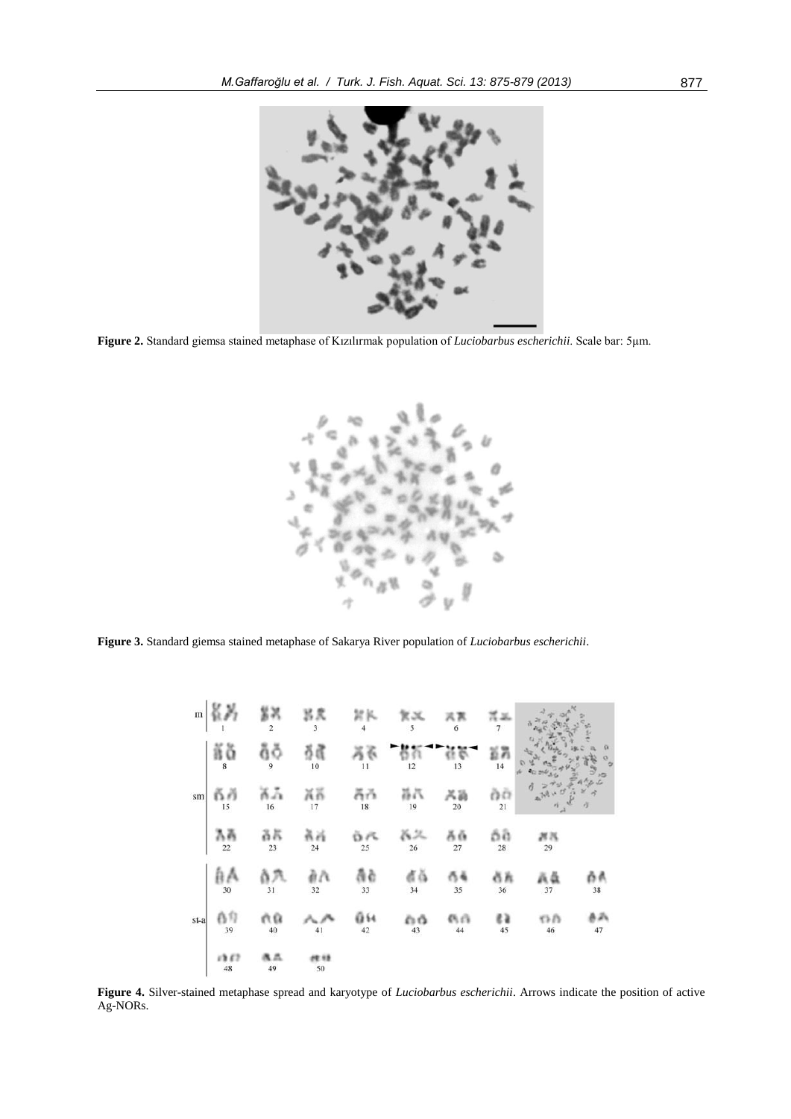

**Figure 2.** Standard giemsa stained metaphase of Kızılırmak population of *Luciobarbus escherichii*. Scale bar: 5µm.



**Figure 3.** Standard giemsa stained metaphase of Sakarya River population of *Luciobarbus escherichii*.

| $\mathbf{m}$ |                               | χ<br>$\overline{2}$ | 呂良<br>$\overline{\mathbf{3}}$ | 討民<br>$\overline{4}$ | kα<br>5   | 6            | 罪品<br>$\overline{7}$ |                |          |
|--------------|-------------------------------|---------------------|-------------------------------|----------------------|-----------|--------------|----------------------|----------------|----------|
| sm           | ăă<br>$\overline{\mathbf{8}}$ | ğğ<br>9             | 有虞<br>10                      | 51<br>11             | 12        | 13           | ដង<br>14             |                |          |
|              | តក<br>15                      | Χå<br>16            | ňñ<br>$17\,$                  | ăň<br>18             | 昌昌<br>19  | 兴崩<br>$20\,$ | òά<br>21             |                | っこ<br>ð  |
|              | λÄ<br>22                      | ãã<br>23            | 前行<br>24                      | ÖR<br>25             | Ä2.<br>26 | ăă<br>$27\,$ | őã<br>28             | 界落<br>29       |          |
| st-a         | âА<br>30                      | 31                  | àА<br>32                      | ãè<br>33             | đă<br>34  | 35           | őň<br>36             | Ää<br>37       | ñ٨<br>38 |
|              | 合印<br>39                      | ЙĤ<br>40            | 41                            | ũH<br>42             | ۵ô<br>43  | 色白<br>44     | εà<br>45             | $\Omega$<br>46 | 病病<br>47 |
|              | 1352<br>$\bf 48$              | 鬼爪<br>49            | <b>FR 13</b><br>50            |                      |           |              |                      |                |          |

**Figure 4.** Silver-stained metaphase spread and karyotype of *Luciobarbus escherichii*. Arrows indicate the position of active Ag-NORs.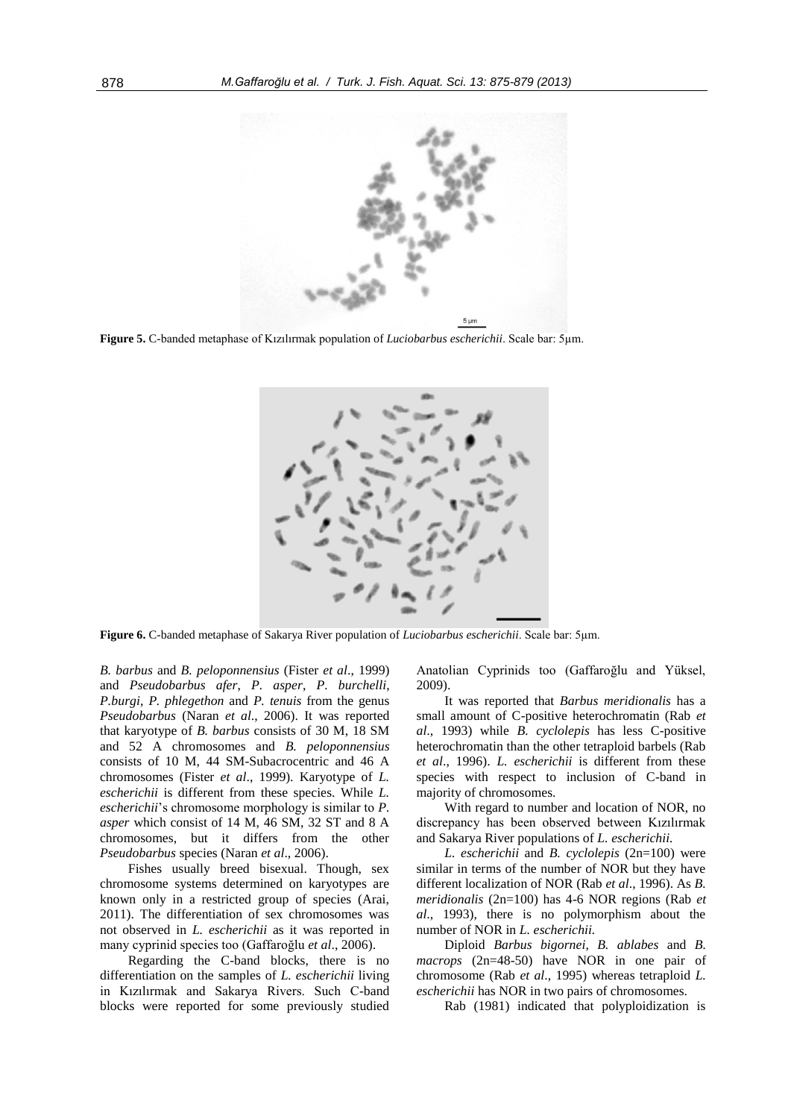

**Figure 5.** C-banded metaphase of Kızılırmak population of *Luciobarbus escherichii*. Scale bar: 5µm.



**Figure 6.** C-banded metaphase of Sakarya River population of *Luciobarbus escherichii*. Scale bar: 5µm.

*B. barbus* and *B. peloponnensius* (Fister *et al*., 1999) and *Pseudobarbus afer*, *P. asper*, *P. burchelli*, *P.burgi*, *P. phlegethon* and *P. tenuis* from the genus *Pseudobarbus* (Naran *et al*., 2006). It was reported that karyotype of *B. barbus* consists of 30 M, 18 SM and 52 A chromosomes and *B. peloponnensius*  consists of 10 M, 44 SM-Subacrocentric and 46 A chromosomes (Fister *et al*., 1999). Karyotype of *L. escherichii* is different from these species. While *L. escherichii*'s chromosome morphology is similar to *P. asper* which consist of 14 M, 46 SM, 32 ST and 8 A chromosomes, but it differs from the other *Pseudobarbus* species (Naran *et al*., 2006).

Fishes usually breed bisexual. Though, sex chromosome systems determined on karyotypes are known only in a restricted group of species (Arai, 2011). The differentiation of sex chromosomes was not observed in *L. escherichii* as it was reported in many cyprinid species too (Gaffaroğlu *et al*., 2006).

Regarding the C-band blocks, there is no differentiation on the samples of *L. escherichii* living in Kızılırmak and Sakarya Rivers. Such C-band blocks were reported for some previously studied Anatolian Cyprinids too (Gaffaroğlu and Yüksel, 2009).

It was reported that *Barbus meridionalis* has a small amount of C-positive heterochromatin (Rab *et al*., 1993) while *B. cyclolepis* has less C-positive heterochromatin than the other tetraploid barbels (Rab *et al*., 1996). *L. escherichii* is different from these species with respect to inclusion of C-band in majority of chromosomes.

With regard to number and location of NOR, no discrepancy has been observed between Kızılırmak and Sakarya River populations of *L. escherichii.*

*L. escherichii* and *B. cyclolepis* (2n=100) were similar in terms of the number of NOR but they have different localization of NOR (Rab *et al*., 1996). As *B. meridionalis* (2n=100) has 4-6 NOR regions (Rab *et al*., 1993), there is no polymorphism about the number of NOR in *L. escherichii.*

Diploid *Barbus bigornei*, *B. ablabes* and *B. macrops* (2n=48-50) have NOR in one pair of chromosome (Rab *et al*., 1995) whereas tetraploid *L. escherichii* has NOR in two pairs of chromosomes.

Rab (1981) indicated that polyploidization is